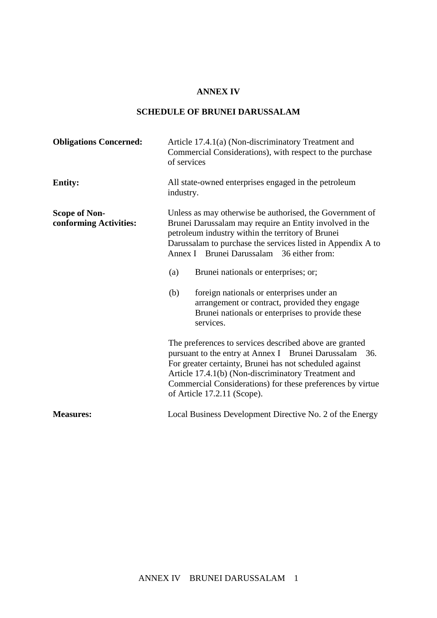## **ANNEX IV**

## **SCHEDULE OF BRUNEI DARUSSALAM**

| <b>Obligations Concerned:</b>                  | Article 17.4.1(a) (Non-discriminatory Treatment and<br>Commercial Considerations), with respect to the purchase<br>of services                                                                                                                                                                                                                                                                                                                                                                            |  |
|------------------------------------------------|-----------------------------------------------------------------------------------------------------------------------------------------------------------------------------------------------------------------------------------------------------------------------------------------------------------------------------------------------------------------------------------------------------------------------------------------------------------------------------------------------------------|--|
| <b>Entity:</b>                                 | All state-owned enterprises engaged in the petroleum<br>industry.                                                                                                                                                                                                                                                                                                                                                                                                                                         |  |
| <b>Scope of Non-</b><br>conforming Activities: | Unless as may otherwise be authorised, the Government of<br>Brunei Darussalam may require an Entity involved in the<br>petroleum industry within the territory of Brunei<br>Darussalam to purchase the services listed in Appendix A to<br>Annex I Brunei Darussalam 36 either from:<br>Brunei nationals or enterprises; or;<br>(a)<br>(b)<br>foreign nationals or enterprises under an<br>arrangement or contract, provided they engage<br>Brunei nationals or enterprises to provide these<br>services. |  |
|                                                | The preferences to services described above are granted<br>pursuant to the entry at Annex I Brunei Darussalam 36.<br>For greater certainty, Brunei has not scheduled against<br>Article 17.4.1(b) (Non-discriminatory Treatment and<br>Commercial Considerations) for these preferences by virtue<br>of Article 17.2.11 (Scope).                                                                                                                                                                          |  |
| <b>Measures:</b>                               | Local Business Development Directive No. 2 of the Energy                                                                                                                                                                                                                                                                                                                                                                                                                                                  |  |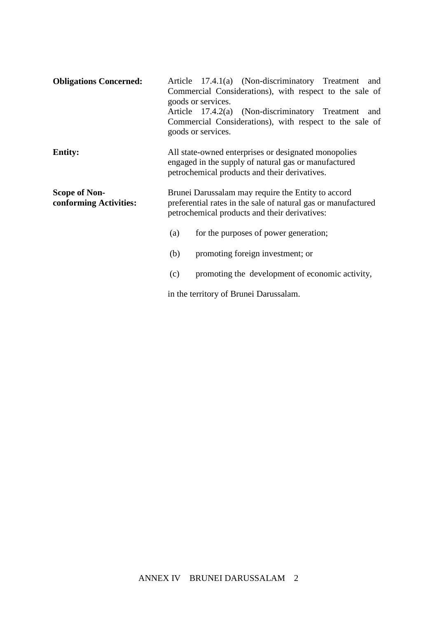| <b>Obligations Concerned:</b>                  | Article 17.4.1(a) (Non-discriminatory Treatment<br>and<br>Commercial Considerations), with respect to the sale of<br>goods or services.                              |  |  |
|------------------------------------------------|----------------------------------------------------------------------------------------------------------------------------------------------------------------------|--|--|
|                                                | Article 17.4.2(a) (Non-discriminatory Treatment<br>and<br>Commercial Considerations), with respect to the sale of<br>goods or services.                              |  |  |
| <b>Entity:</b>                                 | All state-owned enterprises or designated monopolies<br>engaged in the supply of natural gas or manufactured<br>petrochemical products and their derivatives.        |  |  |
| <b>Scope of Non-</b><br>conforming Activities: | Brunei Darussalam may require the Entity to accord<br>preferential rates in the sale of natural gas or manufactured<br>petrochemical products and their derivatives: |  |  |
|                                                | for the purposes of power generation;<br>(a)                                                                                                                         |  |  |
|                                                | promoting foreign investment; or<br>(b)                                                                                                                              |  |  |
|                                                | promoting the development of economic activity,<br>(c)                                                                                                               |  |  |
|                                                | in the territory of Brunei Darussalam.                                                                                                                               |  |  |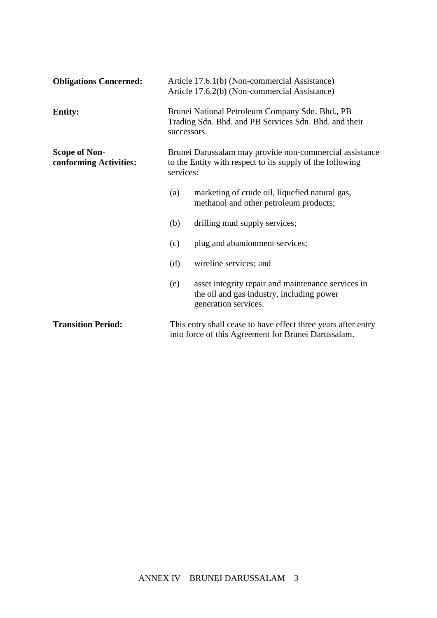| <b>Obligations Concerned:</b>                  |                                                                                                                         | Article 17.6.1(b) (Non-commercial Assistance)<br>Article 17.6.2(b) (Non-commercial Assistance)                          |  |
|------------------------------------------------|-------------------------------------------------------------------------------------------------------------------------|-------------------------------------------------------------------------------------------------------------------------|--|
| <b>Entity:</b>                                 | Brunei National Petroleum Company Sdn. Bhd., PB<br>Trading Sdn. Bhd. and PB Services Sdn. Bhd. and their<br>successors. |                                                                                                                         |  |
| <b>Scope of Non-</b><br>conforming Activities: | services:                                                                                                               | Brunei Darussalam may provide non-commercial assistance<br>to the Entity with respect to its supply of the following    |  |
|                                                | (a)                                                                                                                     | marketing of crude oil, liquefied natural gas,<br>methanol and other petroleum products;                                |  |
|                                                | (b)                                                                                                                     | drilling mud supply services;                                                                                           |  |
|                                                | (c)                                                                                                                     | plug and abandonment services;                                                                                          |  |
|                                                | (d)                                                                                                                     | wireline services; and                                                                                                  |  |
|                                                | (e)                                                                                                                     | asset integrity repair and maintenance services in<br>the oil and gas industry, including power<br>generation services. |  |
| <b>Transition Period:</b>                      | This entry shall cease to have effect three years after entry<br>into force of this Agreement for Brunei Darussalam.    |                                                                                                                         |  |